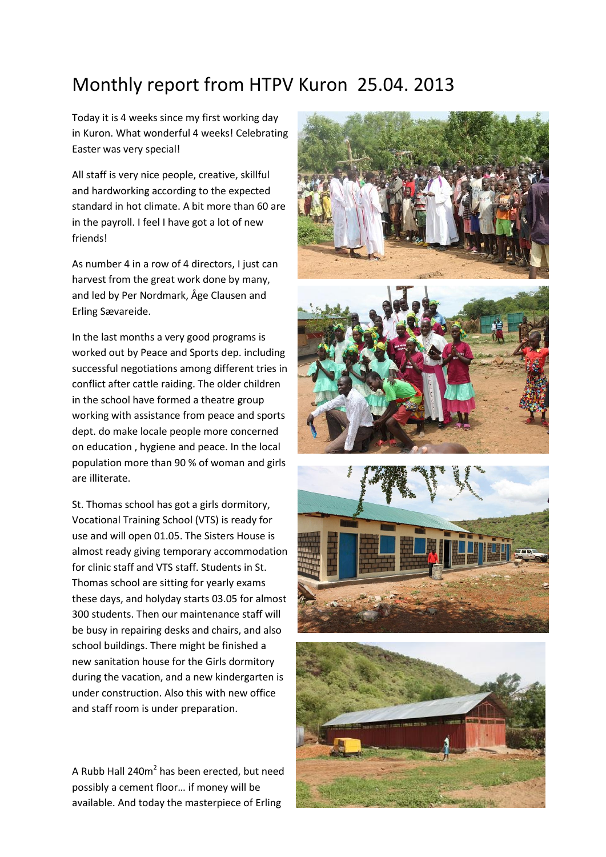## Monthly report from HTPV Kuron 25.04. 2013

Today it is 4 weeks since my first working day in Kuron. What wonderful 4 weeks! Celebrating Easter was very special!

All staff is very nice people, creative, skillful and hardworking according to the expected standard in hot climate. A bit more than 60 are in the payroll. I feel I have got a lot of new friends!

As number 4 in a row of 4 directors, I just can harvest from the great work done by many, and led by Per Nordmark, Åge Clausen and Erling Sævareide.

In the last months a very good programs is worked out by Peace and Sports dep. including successful negotiations among different tries in conflict after cattle raiding. The older children in the school have formed a theatre group working with assistance from peace and sports dept. do make locale people more concerned on education , hygiene and peace. In the local population more than 90 % of woman and girls are illiterate.

St. Thomas school has got a girls dormitory, Vocational Training School (VTS) is ready for use and will open 01.05. The Sisters House is almost ready giving temporary accommodation for clinic staff and VTS staff. Students in St. Thomas school are sitting for yearly exams these days, and holyday starts 03.05 for almost 300 students. Then our maintenance staff will be busy in repairing desks and chairs, and also school buildings. There might be finished a new sanitation house for the Girls dormitory during the vacation, and a new kindergarten is under construction. Also this with new office and staff room is under preparation.

A Rubb Hall 240 $m^2$  has been erected, but need possibly a cement floor… if money will be available. And today the masterpiece of Erling